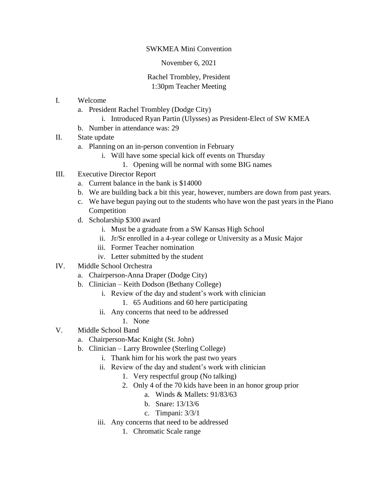## SWKMEA Mini Convention

## November 6, 2021

## Rachel Trombley, President 1:30pm Teacher Meeting

- I. Welcome
	- a. President Rachel Trombley (Dodge City)
		- i. Introduced Ryan Partin (Ulysses) as President-Elect of SW KMEA
	- b. Number in attendance was: 29
- II. State update
	- a. Planning on an in-person convention in February
		- i. Will have some special kick off events on Thursday
			- 1. Opening will be normal with some BIG names
- III. Executive Director Report
	- a. Current balance in the bank is \$14000
	- b. We are building back a bit this year, however, numbers are down from past years.
	- c. We have begun paying out to the students who have won the past years in the Piano Competition
	- d. Scholarship \$300 award
		- i. Must be a graduate from a SW Kansas High School
		- ii. Jr/Sr enrolled in a 4-year college or University as a Music Major
		- iii. Former Teacher nomination
		- iv. Letter submitted by the student
- IV. Middle School Orchestra
	- a. Chairperson-Anna Draper (Dodge City)
	- b. Clinician Keith Dodson (Bethany College)
		- i. Review of the day and student's work with clinician
			- 1. 65 Auditions and 60 here participating
		- ii. Any concerns that need to be addressed
			- 1. None
- V. Middle School Band
	- a. Chairperson-Mac Knight (St. John)
	- b. Clinician Larry Brownlee (Sterling College)
		- i. Thank him for his work the past two years
		- ii. Review of the day and student's work with clinician
			- 1. Very respectful group (No talking)
			- 2. Only 4 of the 70 kids have been in an honor group prior
				- a. Winds & Mallets: 91/83/63
				- b. Snare: 13/13/6
				- c. Timpani: 3/3/1
		- iii. Any concerns that need to be addressed
			- 1. Chromatic Scale range